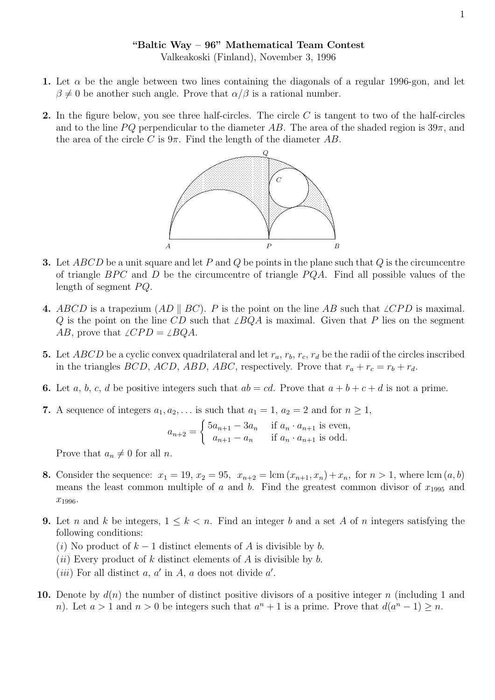## "Baltic Way – 96" Mathematical Team Contest

Valkeakoski (Finland), November 3, 1996

- 1. Let  $\alpha$  be the angle between two lines containing the diagonals of a regular 1996-gon, and let  $\beta \neq 0$  be another such angle. Prove that  $\alpha/\beta$  is a rational number.
- 2. In the figure below, you see three half-circles. The circle  $C$  is tangent to two of the half-circles and to the line PQ perpendicular to the diameter AB. The area of the shaded region is  $39\pi$ , and the area of the circle C is  $9\pi$ . Find the length of the diameter AB.



- **3.** Let ABCD be a unit square and let P and Q be points in the plane such that Q is the circumcentre of triangle  $BPC$  and D be the circumcentre of triangle  $PQA$ . Find all possible values of the length of segment  $PQ$ .
- 4. ABCD is a trapezium (AD | BC). P is the point on the line AB such that  $\angle CPD$  is maximal. Q is the point on the line CD such that  $\angle BQA$  is maximal. Given that P lies on the segment AB, prove that  $\angle CPD = \angle BQA$ .
- 5. Let ABCD be a cyclic convex quadrilateral and let  $r_a$ ,  $r_b$ ,  $r_c$ ,  $r_d$  be the radii of the circles inscribed in the triangles *BCD*, *ACD*, *ABD*, *ABC*, respectively. Prove that  $r_a + r_c = r_b + r_d$ .
- 6. Let a, b, c, d be positive integers such that  $ab = cd$ . Prove that  $a + b + c + d$  is not a prime.
- 7. A sequence of integers  $a_1, a_2, \ldots$  is such that  $a_1 = 1, a_2 = 2$  and for  $n \ge 1$ ,

$$
a_{n+2} = \begin{cases} 5a_{n+1} - 3a_n & \text{if } a_n \cdot a_{n+1} \text{ is even,} \\ a_{n+1} - a_n & \text{if } a_n \cdot a_{n+1} \text{ is odd.} \end{cases}
$$

Prove that  $a_n \neq 0$  for all n.

- 8. Consider the sequence:  $x_1 = 19$ ,  $x_2 = 95$ ,  $x_{n+2} = \text{lcm}(x_{n+1}, x_n) + x_n$ , for  $n > 1$ , where  $\text{lcm}(a, b)$ means the least common multiple of a and b. Find the greatest common divisor of  $x_{1995}$  and  $x_{1996}$ .
- **9.** Let n and k be integers,  $1 \leq k < n$ . Find an integer b and a set A of n integers satisfying the following conditions:
	- (i) No product of  $k-1$  distinct elements of A is divisible by b.
	- (*ii*) Every product of k distinct elements of A is divisible by b.
	- (*iii*) For all distinct  $a, a'$  in  $A, a$  does not divide  $a'$ .
- 10. Denote by  $d(n)$  the number of distinct positive divisors of a positive integer n (including 1 and n). Let  $a > 1$  and  $n > 0$  be integers such that  $a^n + 1$  is a prime. Prove that  $d(a^n - 1) \geq n$ .